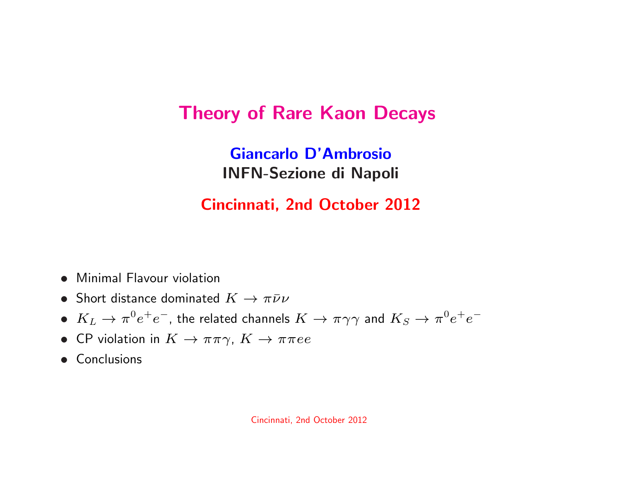### Theory of Rare Kaon Decays

Giancarlo D'AmbrosioINFN-Sezione di Napoli

#### Cincinnati, 2nd October <sup>2012</sup>

- Minimal Flavour violation
- Short distance dominated  $K \to \pi \bar{\nu} \nu$
- $\sim$   $\sim$  $\bullet\ \, K_L \rightarrow \pi^0 e^+$  $e^+e^-,$  the related channels  $K\to\pi\gamma\gamma$  and  $K_S\to\pi^0e^+$  $\tau e^{-}$
- $CD,$ • CP violation in  $K \to \pi\pi\gamma$ ,  $K \to \pi\pi ee$ <br>• Conclusions
- Conclusions

Cincinnati, 2nd October <sup>2012</sup>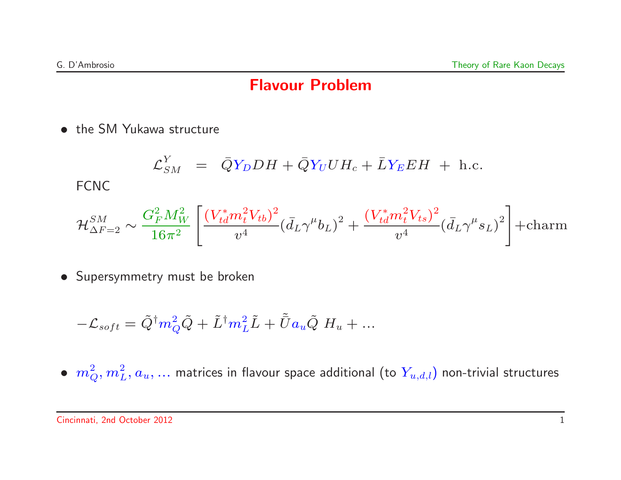#### Flavour Problem

• the SM Yukawa structure

$$
\mathcal{L}_{SM}^{Y} = \bar{Q}Y_D DH + \bar{Q}Y_U U H_c + \bar{L}Y_E EH + \text{h.c.}
$$
  
FCNC

$$
\mathcal{H}_{\Delta F=2}^{SM} \sim \frac{G_F^2 M_W^2}{16\pi^2} \left[ \frac{(V_{td}^* m_t^2 V_{tb})^2}{v^4} (\bar{d}_L \gamma^\mu b_L)^2 + \frac{(V_{td}^* m_t^2 V_{ts})^2}{v^4} (\bar{d}_L \gamma^\mu s_L)^2 \right] + \text{charm}
$$

• Supersymmetry must be broken

$$
-\mathcal{L}_{soft} = \tilde{Q}^{\dagger} m_Q^2 \tilde{Q} + \tilde{L}^{\dagger} m_L^2 \tilde{L} + \tilde{\bar{U}} a_u \tilde{Q} H_u + \dots
$$

 $\bullet \ \ m_Q^2, m_L^2, a_u, ...$  matrices in flavour space additional (to  $Y_{u,d,l})$  non-trivial structures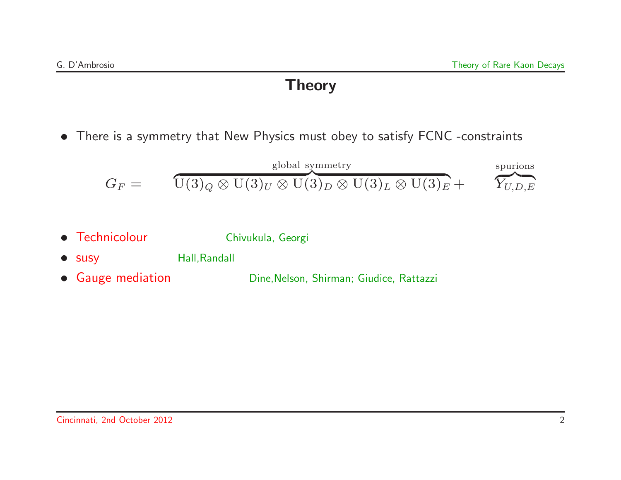#### Theory

• There is <sup>a</sup> symmetry that New Physics must obey to satisfy FCNC -constraints

$$
G_F = \overbrace{\text{U}(3)_Q \otimes \text{U}(3)_U \otimes \text{U}(3)_D \otimes \text{U}(3)_L \otimes \text{U}(3)_E}^{\text{global symmetry}} + \overbrace{Y_{U,D,E}}
$$

- Technicolour Chivukula, Georgi
- susy Hall, Randall
- Gauge mediation Dine,Nelson, Shirman; Giudice, Rattazzi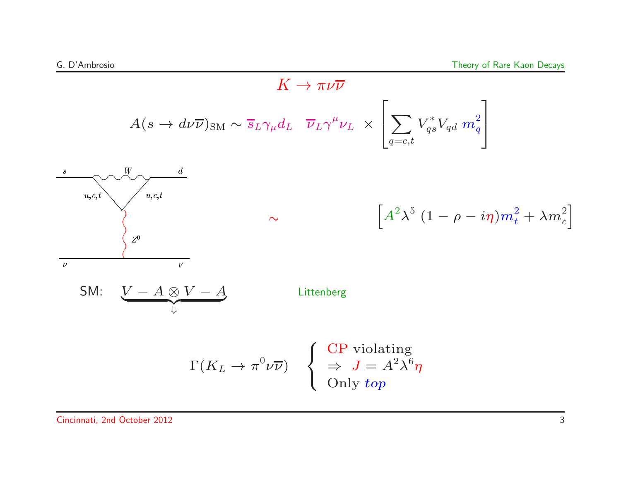$$
K \to \pi \nu \overline{\nu}
$$
\n
$$
A(s \to d\nu \overline{\nu})_{\text{SM}} \sim \overline{s}_L \gamma_\mu d_L \quad \overline{\nu}_L \gamma^\mu \nu_L \times \left[ \sum_{q=c,t} V_{qs}^* V_{qd} \, m_q^2 \right]
$$
\n
$$
\sum_{u,c,t} \underbrace{\psi_{u,c,t}}_{v} \sim \left[ A^2 \lambda^5 (1 - \rho - i\eta) m_t^2 + \lambda m_c^2 \right]
$$
\n
$$
\sum_{v} \text{SM:} \underbrace{V - A \otimes V - A}_{\Downarrow}
$$
\n
$$
\Gamma(K_L \to \pi^0 \nu \overline{\nu}) \quad \left\{ \begin{array}{l} \text{CP violating} \\ \Rightarrow J = A^2 \lambda^6 \eta \\ \text{Only top} \end{array} \right.
$$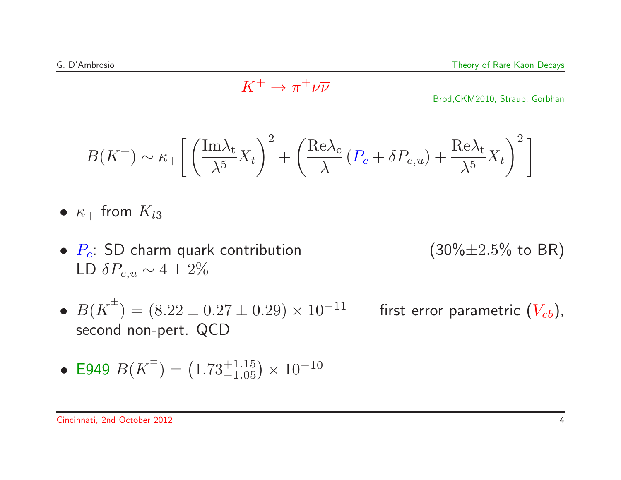$$
K^+ \to \pi^+ \nu \overline{\nu}
$$

Brod,CKM2010, Straub, Gorbhan

$$
B(K^{+}) \sim \kappa_{+} \left[ \left( \frac{\text{Im}\lambda_{t}}{\lambda^{5}} X_{t} \right)^{2} + \left( \frac{\text{Re}\lambda_{c}}{\lambda} \left( P_{c} + \delta P_{c,u} \right) + \frac{\text{Re}\lambda_{t}}{\lambda^{5}} X_{t} \right)^{2} \right]
$$

- $\bullet\; \kappa_+$  from  $K_{l3}$
- $P_c$ : SD charm quark contribution (30% $\pm 2.5$ % to BR) LD  $\delta P_{c,u} \sim 4 \pm 2\%$
- 

- ••  $B(K^{\pm}) = (8.22 \pm$ second non-pert. QCD
	- first error parametric  $(V_{cb})$ ,

• E949 
$$
B(K^{\pm}) = (1.73^{+1.15}_{-1.05}) \times 10^{-10}
$$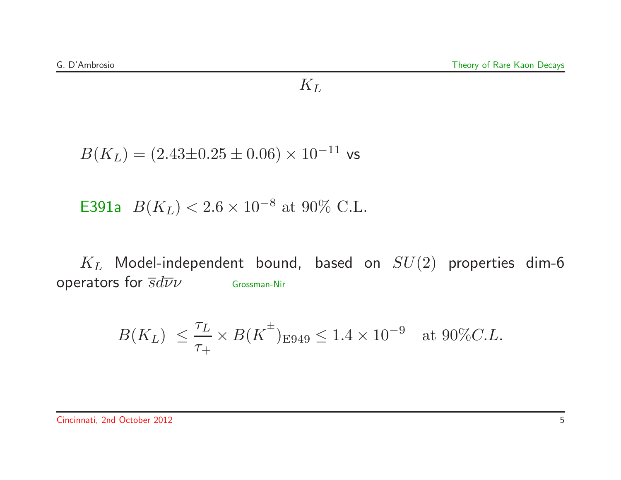#### $K_L$

 $B(K_L) = (2.43{\pm}0.25{\pm}0.06)\times 10^{-11}$  vs

E391a  $B(K_L) < 2.6 \times 10^{-8}$  at 90% C.L.

 $K_L$  Model-independent bound, based on  $SU(2)$  properties dim-6 operators for  $\overline{s}d\overline{\nu}\nu$  Grossman-Nir

$$
B(K_L) \leq \frac{\tau_L}{\tau_+} \times B(K^{\pm})_{E949} \leq 1.4 \times 10^{-9} \text{ at } 90\% C.L.
$$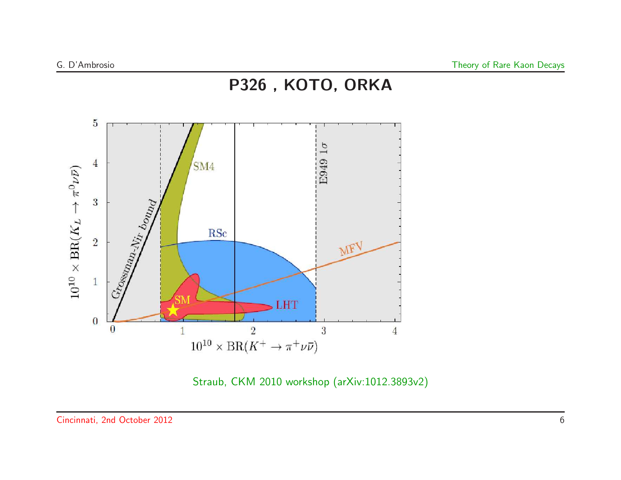

Straub, CKM <sup>2010</sup> workshop (arXiv:1012.3893v2)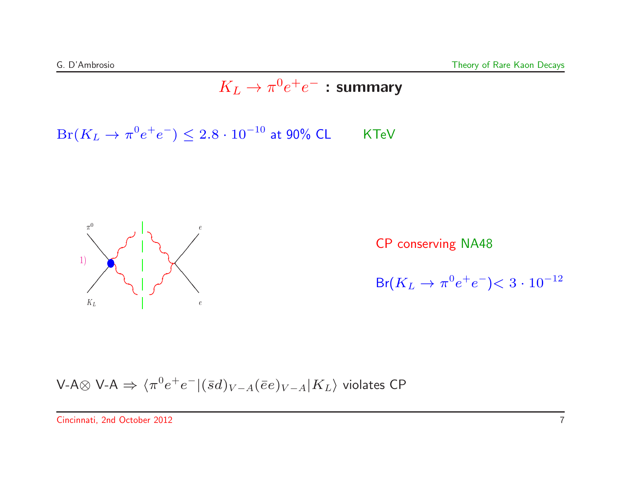## $K_L \rightarrow \pi^0 e^+ e^-$  : summary

 $Br(K_L \rightarrow \pi^0 e^+ e^-) \leq 2.8 \cdot 10^{-10}$  at 90% CL KTeV



CP conserving NA48

 $\mathsf{Br}(K_L\to\pi^0e^+e^-)$  $< 3\cdot 10^{-12}$ 

V-A
$$
\otimes
$$
 V-A  $\Rightarrow \langle \pi^0 e^+ e^- | (\bar{s}d)_{V-A} (\bar{e}e)_{V-A} | K_L \rangle$  violates CP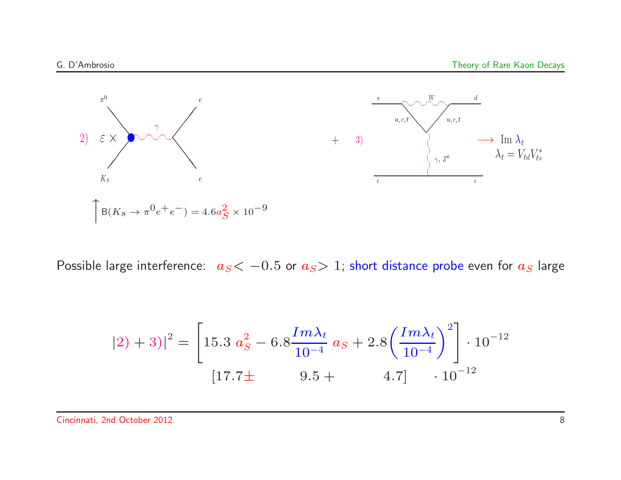

Possible large interference:  $\ a_S< -0.5$  or  $a_S>1$ ; short distance probe even for  $a_S$  large

$$
(2) + 3)|^{2} = \left[15.3 \ a_{S}^{2} - 6.8 \frac{Im\lambda_{t}}{10^{-4}} \ a_{S} + 2.8 \left(\frac{Im\lambda_{t}}{10^{-4}}\right)^{2}\right] \cdot 10^{-12}
$$

$$
(17.7 \pm 9.5 + 4.7] \cdot 10^{-12}
$$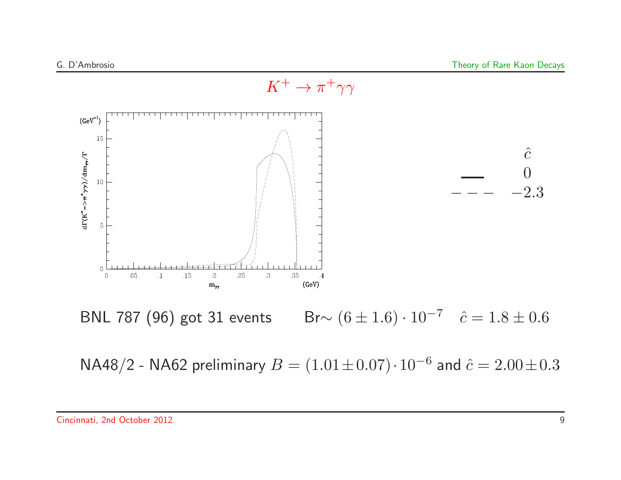

Cincinnati, 2nd October 2012 9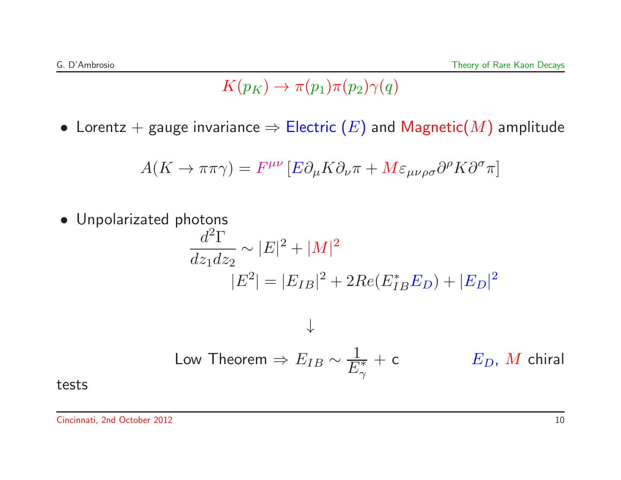### $K(p_K) \rightarrow \pi(p_1)\pi(p_2)\gamma(q)$

 $\bullet\,$  Lorentz  $+$  gauge invariance  $\Rightarrow$   $\sf{Electric}\left(E\right)$  and  ${\sf Magnetic}(M)$  amplitude

$$
A(K \to \pi \pi \gamma) = F^{\mu\nu} \left[ E \partial_{\mu} K \partial_{\nu} \pi + M \varepsilon_{\mu\nu\rho\sigma} \partial^{\rho} K \partial^{\sigma} \pi \right]
$$

• Unpolarizated photons  $d^2\Gamma$  $dz_1dz_2$  $-\frac{1}{2} \sim |E|^2 + |M|^2$  $|E^2| =$  $=|E_{IB}|^2 + 2Re(E_{IB}^*E_D) + |E_D|^2$ ↓Low Theorem  $\Rightarrow E_{IB}\sim \frac{1}{E_\gamma^*}$  $E_D$ , M chiral

tests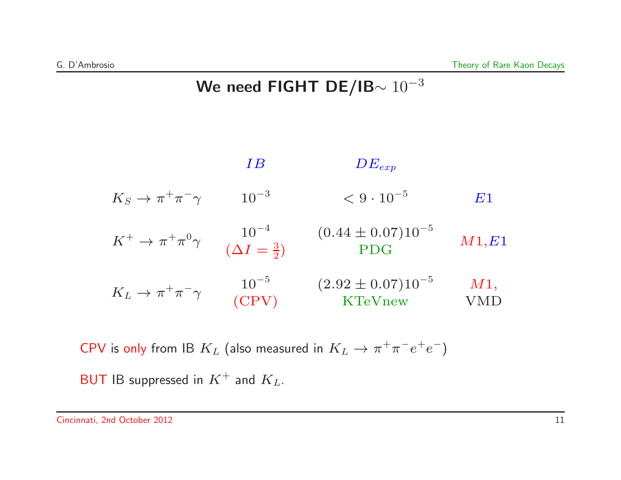### We need FIGHT DE/IB $\sim 10^{-3}$

|                                      | IΒ                                         | $DE_{exp}$                              |            |
|--------------------------------------|--------------------------------------------|-----------------------------------------|------------|
| $K_S \to \pi^+ \pi^- \gamma$         | $10^{-3}$                                  | $< 9 \cdot 10^{-5}$                     | E1         |
| $K^+ \to \pi^+ \pi^0 \gamma$         | $\frac{10^{-4}}{(\Delta I = \frac{3}{2})}$ | $(0.44 \pm 0.07) 10^{-5}$<br><b>PDG</b> | M1,E1      |
| $K_L \rightarrow \pi^+ \pi^- \gamma$ | $10^{-5}$<br>(CPV)                         | $(2.92 \pm 0.07) 10^{-5}$<br>KTeVnew    | M1,<br>'MD |

CPV is only from IB  $K_L$  (also measured in  $K_L \rightarrow \pi^+ \pi^- e^+ e^-$ )

 $\mathsf{BUT}$  IB suppressed in  $K^+$  and  $K_L.$ 

Cincinnati, 2nd October 2012 11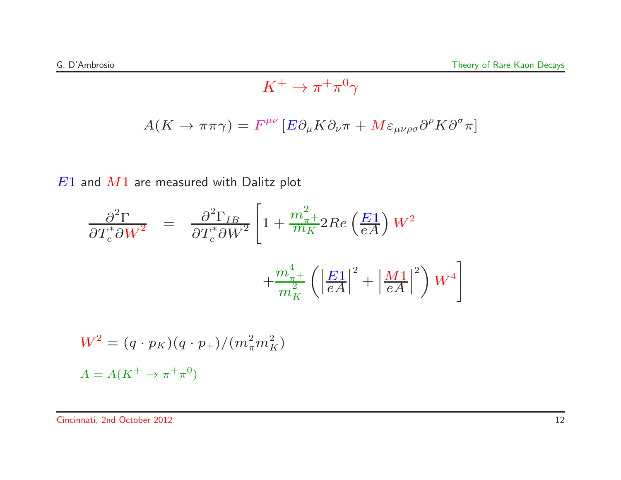$$
K^+ \to \pi^+ \pi^0 \gamma
$$

$$
A(K \to \pi \pi \gamma) = F^{\mu\nu} \left[ E \partial_{\mu} K \partial_{\nu} \pi + M \varepsilon_{\mu\nu\rho\sigma} \partial^{\rho} K \partial^{\sigma} \pi \right]
$$

 $E1$  and  $M1$  are measured with Dalitz plot

$$
\frac{\partial^2 \Gamma}{\partial T_c^* \partial W^2} = \frac{\partial^2 \Gamma_{IB}}{\partial T_c^* \partial W^2} \left[ 1 + \frac{m_{\pi}^2}{m_K} 2Re\left(\frac{E_1}{eA}\right) W^2 + \frac{m_{\pi}^4}{m_K^2} \left( \left|\frac{E_1}{eA}\right|^2 + \left|\frac{M_1}{eA}\right|^2 \right) W^4 \right]
$$

$$
W^{2} = (q \cdot p_{K})(q \cdot p_{+})/(m_{\pi}^{2} m_{K}^{2})
$$
  

$$
A = A(K^{+} \rightarrow \pi^{+} \pi^{0})
$$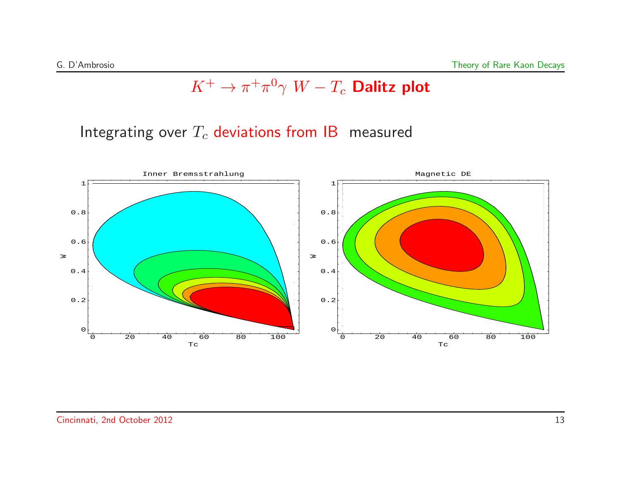## $K^+ \to \pi^+ \pi^0 \gamma \; W - T_c$  Dalitz plot

Integrating over  $T_c$  deviations from  $\mathsf{IB}\;$  measured

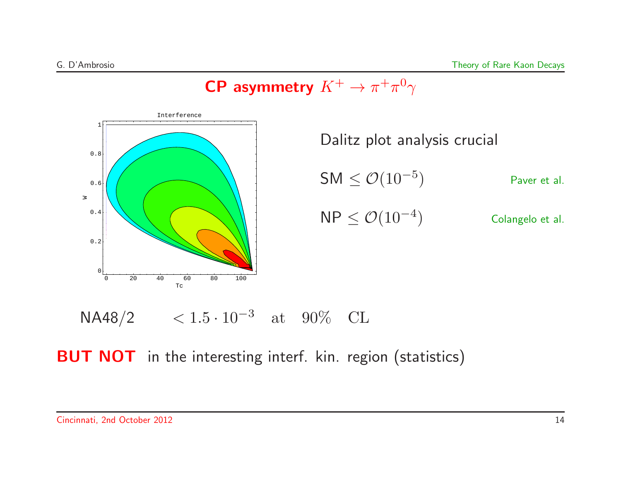# CP asymmetry  $K^+ \to \pi^+ \pi^0 \gamma$



Dalitz plot analysis crucial  $\mathsf{SM} \leq \mathcal{O}(10^{-5})$  Paver et al.  $\mathsf{NP} \leq \mathcal{O}(10^{-4})$  Colangelo et al.



 $\overline{\mathsf{BUT\;NOT}}\;$  in the interesting interf. kin. region (statistics)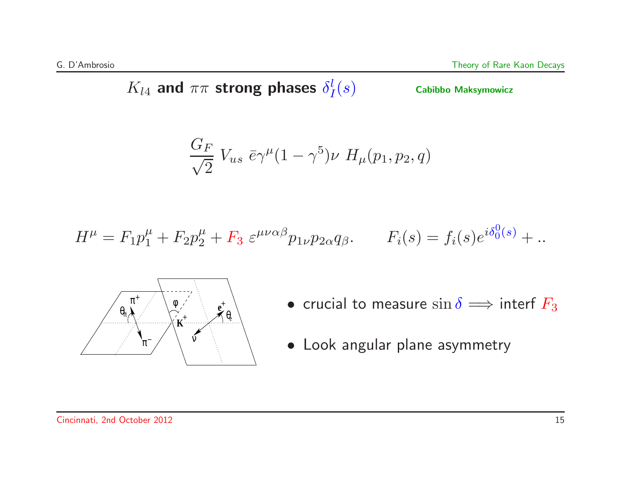$K_{l4}$  and  $\pi\pi$  strong phases  $\delta^l_I(s)$  Cabibbo Maksymowicz

$$
\frac{G_F}{\sqrt{2}} V_{us} \ \bar{e} \gamma^{\mu} (1 - \gamma^5) \nu \ H_{\mu}(p_1, p_2, q)
$$

$$
H^{\mu} = F_1 p_1^{\mu} + F_2 p_2^{\mu} + F_3 \ \varepsilon^{\mu \nu \alpha \beta} p_1_{\nu} p_2_{\alpha} q_{\beta}. \qquad F_i(s) = f_i(s) e^{i \delta_0^0(s)} + \dots
$$



- 
- Look angular plane asymmetry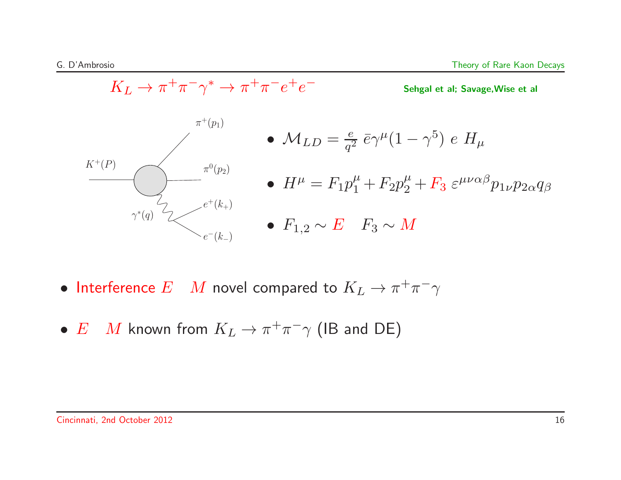$$
K_L \to \pi^+ \pi^- \gamma^* \to \pi^+ \pi^- e^+ e^-
$$
  
\n
$$
\bullet \quad M_{LD} = \frac{e}{q^2} \bar{e} \gamma^\mu (1 - \gamma^5) \quad e \quad H_\mu
$$
  
\n
$$
K^+(P)
$$
  
\n
$$
\bullet \quad H^\mu = F_1 p_1^\mu + F_2 p_2^\mu + F_3 \quad \varepsilon^{\mu\nu\alpha\beta} p_{1\nu} p_{2\alpha} q_\beta
$$
  
\n
$$
\bullet \quad F_{1,2} \sim E \quad F_3 \sim M
$$

- Interference  $E$   $M$  novel compared to  $K_L \rightarrow \pi^+ \pi^- \gamma$
- $E$  M known from  $K_L \to \pi^+ \pi^- \gamma$  (IB and DE)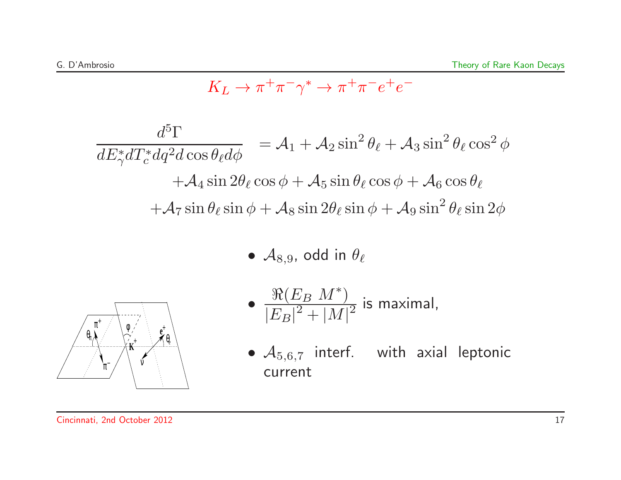$$
K_L \to \pi^+ \pi^- \gamma^* \to \pi^+ \pi^- e^+ e^-
$$

$$
\frac{d^5 \Gamma}{dE_{\gamma}^* dT_c^* dq^2 d \cos \theta_{\ell} d\phi} = \mathcal{A}_1 + \mathcal{A}_2 \sin^2 \theta_{\ell} + \mathcal{A}_3 \sin^2 \theta_{\ell} \cos^2 \phi
$$

$$
+ \mathcal{A}_4 \sin 2\theta_{\ell} \cos \phi + \mathcal{A}_5 \sin \theta_{\ell} \cos \phi + \mathcal{A}_6 \cos \theta_{\ell}
$$

$$
+ \mathcal{A}_7 \sin \theta_{\ell} \sin \phi + \mathcal{A}_8 \sin 2\theta_{\ell} \sin \phi + \mathcal{A}_9 \sin^2 \theta_{\ell} \sin 2\phi
$$

 $\bullet$   $\mathcal{A}_{8,9}$ , odd in  $\theta_\ell$ 



• 
$$
\frac{\Re(E_B M^*)}{|E_B|^2 + |M|^2}
$$
 is maximal,

 $\bullet$   $\mathcal{A}_{5,6,7}$  interf. with axial leptonic current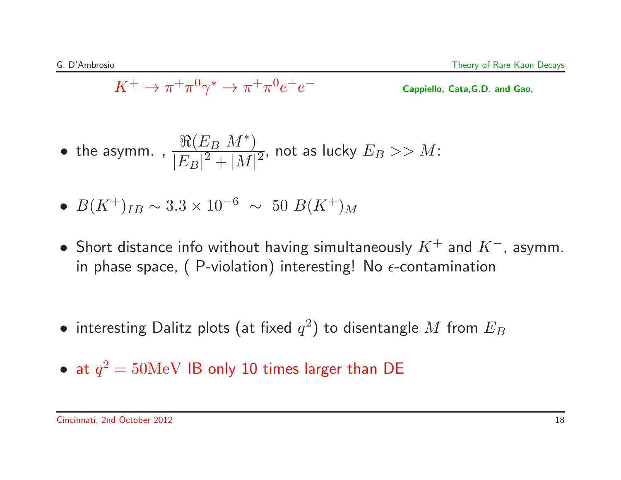$$
K^+ \to \pi^+ \pi^0 \gamma^* \to \pi^+ \pi^0 e^+ e^-
$$

Cappiello, Cata,G.D. and Gao,

• the asymm. , 
$$
\frac{\Re(E_B M^*)}{|E_B|^2 + |M|^2}
$$
, not as lucky  $E_B >> M$ :

• 
$$
B(K^+)_{IB} \sim 3.3 \times 10^{-6} \sim 50 B(K^+)_M
$$

- Short distance info without having simultaneously  $K^+$  and  $K^-$ , asymm. in phase space, ( P-violation) interesting! No  $\epsilon$ -contamination
- $\bullet$  interesting Dalitz plots (at fixed  $q^2)$  to disentangle  $M$  from  $E_B$
- $\bullet$  at  $q^2 = 50 \mathrm{MeV}$  IB only 10 times larger than DE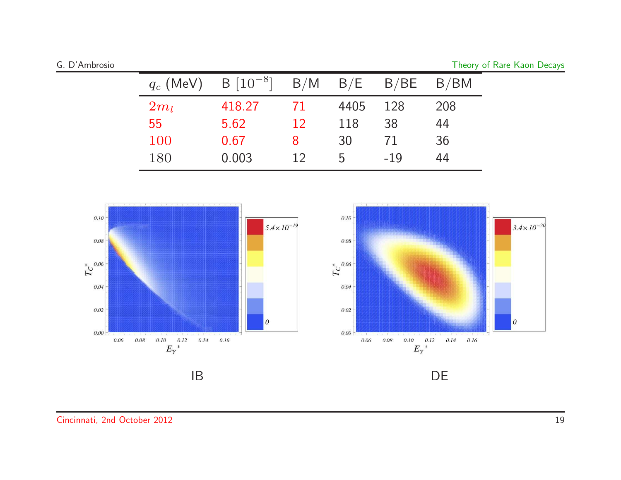|  | G. D'Ambrosio |  |
|--|---------------|--|
|  |               |  |
|  |               |  |

Theory of Rare Kaon Decays

| $q_c$ (MeV) | $B\ [10^{-8}]$ | B/M |              | $B/E$ $B/BE$ $B/BM$ |     |
|-------------|----------------|-----|--------------|---------------------|-----|
| $2m_l$      | 418.27         | 71  | 4405         | 128                 | 208 |
| 55          | 5.62           | 12  | 118          | 38                  | 44  |
| 100         | 0.67           | 8   | 30           | 71                  | 36  |
| 180         | 0.003          | 12  | $\mathbf{b}$ | $-19$               | 44  |

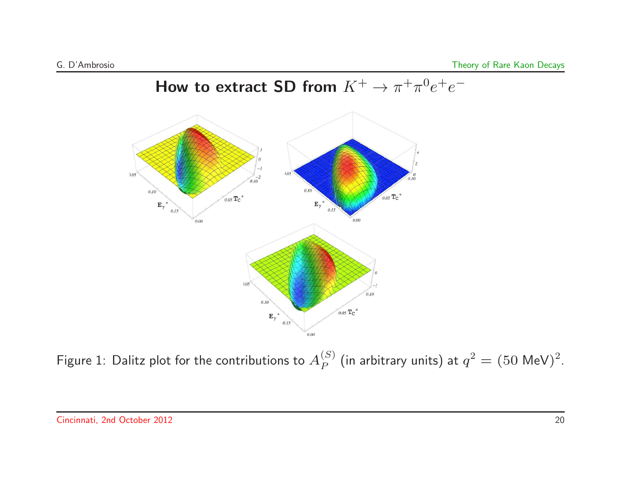

Figure 1: Dalitz plot for the contributions to  $A^{(S)}_P$  (in arbitrary units) at  $q^2=(50$  MeV) $^2$ .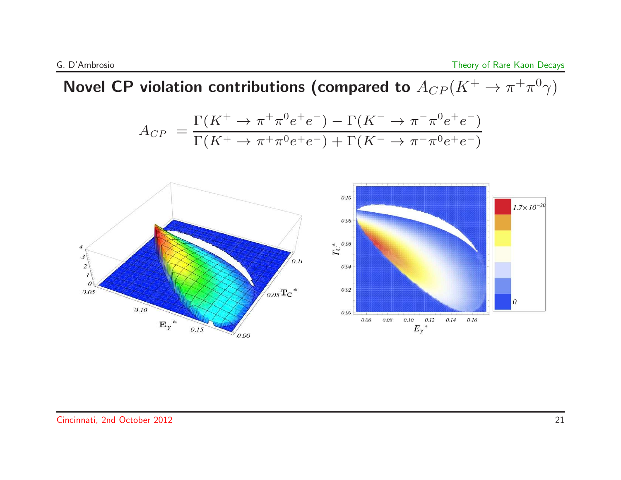## Novel CP violation contributions (compared to  $A_{CP}(K^+ \rightarrow \pi^+ \pi^0 \gamma)$

$$
A_{CP} = \frac{\Gamma(K^+ \to \pi^+ \pi^0 e^+ e^-) - \Gamma(K^- \to \pi^- \pi^0 e^+ e^-)}{\Gamma(K^+ \to \pi^+ \pi^0 e^+ e^-) + \Gamma(K^- \to \pi^- \pi^0 e^+ e^-)}
$$